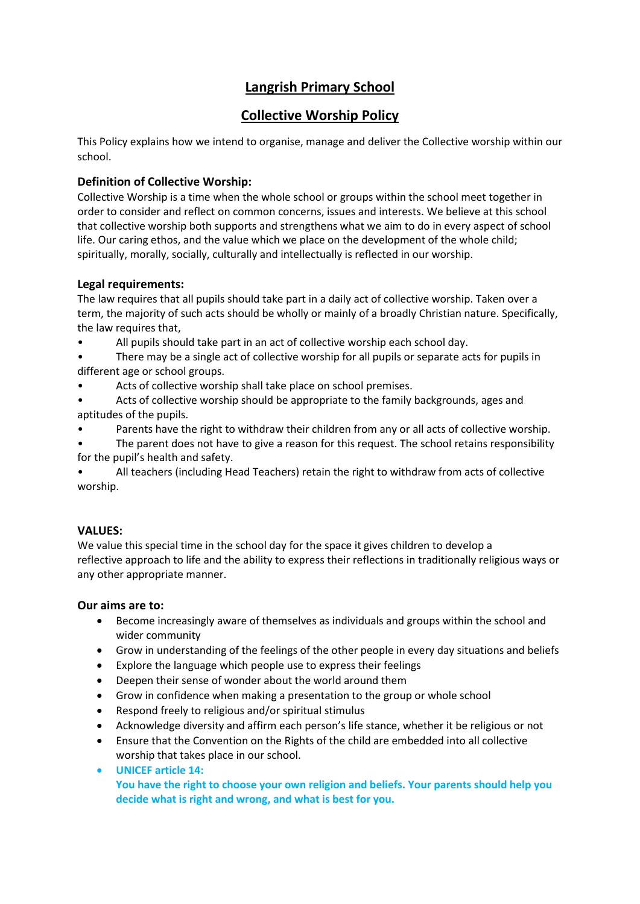# **Langrish Primary School**

# **Collective Worship Policy**

This Policy explains how we intend to organise, manage and deliver the Collective worship within our school.

# **Definition of Collective Worship:**

Collective Worship is a time when the whole school or groups within the school meet together in order to consider and reflect on common concerns, issues and interests. We believe at this school that collective worship both supports and strengthens what we aim to do in every aspect of school life. Our caring ethos, and the value which we place on the development of the whole child; spiritually, morally, socially, culturally and intellectually is reflected in our worship.

## **Legal requirements:**

The law requires that all pupils should take part in a daily act of collective worship. Taken over a term, the majority of such acts should be wholly or mainly of a broadly Christian nature. Specifically, the law requires that,

- All pupils should take part in an act of collective worship each school day.
- There may be a single act of collective worship for all pupils or separate acts for pupils in different age or school groups.
- Acts of collective worship shall take place on school premises.
- Acts of collective worship should be appropriate to the family backgrounds, ages and aptitudes of the pupils.
- Parents have the right to withdraw their children from any or all acts of collective worship.
- The parent does not have to give a reason for this request. The school retains responsibility for the pupil's health and safety.

• All teachers (including Head Teachers) retain the right to withdraw from acts of collective worship.

# **VALUES:**

We value this special time in the school day for the space it gives children to develop a reflective approach to life and the ability to express their reflections in traditionally religious ways or any other appropriate manner.

### **Our aims are to:**

- Become increasingly aware of themselves as individuals and groups within the school and wider community
- Grow in understanding of the feelings of the other people in every day situations and beliefs
- Explore the language which people use to express their feelings
- Deepen their sense of wonder about the world around them
- Grow in confidence when making a presentation to the group or whole school
- Respond freely to religious and/or spiritual stimulus
- Acknowledge diversity and affirm each person's life stance, whether it be religious or not
- Ensure that the Convention on the Rights of the child are embedded into all collective worship that takes place in our school.
- **UNICEF article 14: You have the right to choose your own religion and beliefs. Your parents should help you decide what is right and wrong, and what is best for you.**